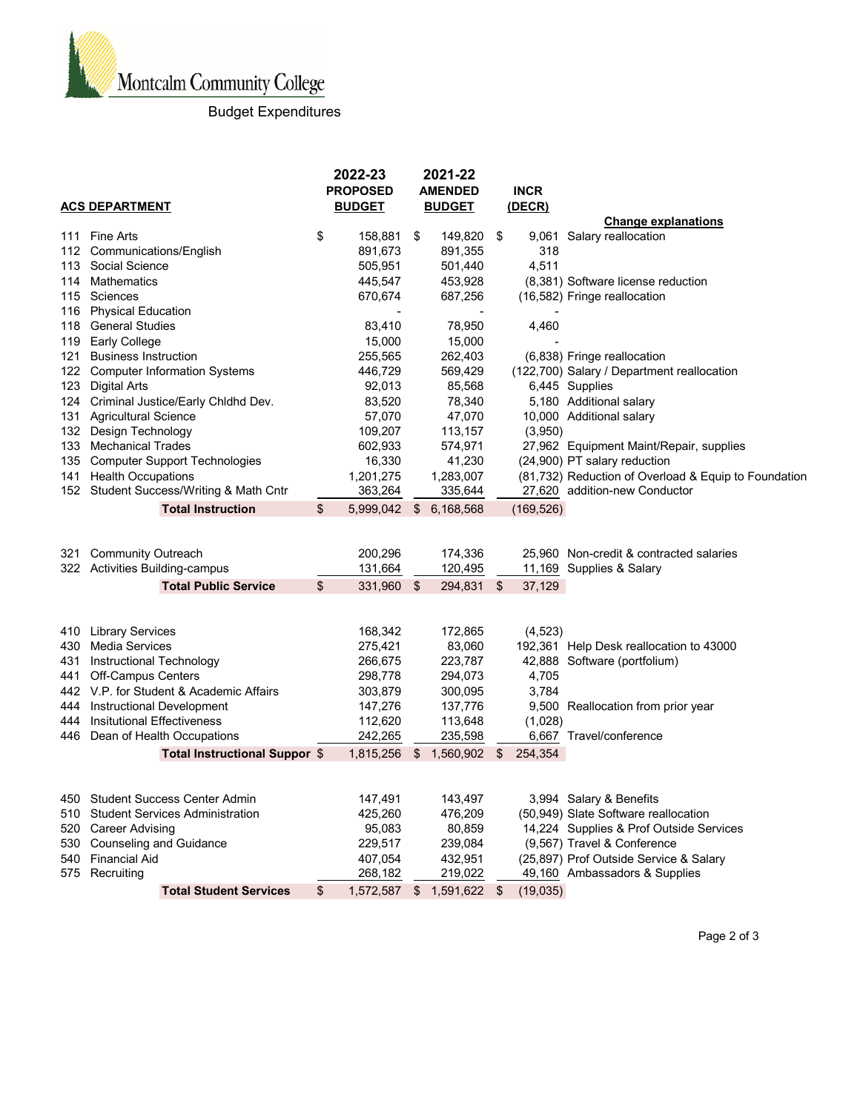

## Budget Expenditures

|     |                                         | 2022-23 |                 |    | 2021-22        |      |               |                                                      |
|-----|-----------------------------------------|---------|-----------------|----|----------------|------|---------------|------------------------------------------------------|
|     |                                         |         | <b>PROPOSED</b> |    | <b>AMENDED</b> |      | <b>INCR</b>   |                                                      |
|     | <b>ACS DEPARTMENT</b>                   |         | <b>BUDGET</b>   |    | <b>BUDGET</b>  |      | <u>(DECR)</u> |                                                      |
|     |                                         |         |                 |    |                |      |               | <b>Change explanations</b>                           |
| 111 | Fine Arts                               | \$      | 158,881         | \$ | 149,820        | - \$ | 9,061         | Salary reallocation                                  |
|     | 112 Communications/English              |         | 891,673         |    | 891,355        |      | 318           |                                                      |
|     | 113 Social Science                      |         | 505,951         |    | 501,440        |      | 4,511         |                                                      |
|     | 114 Mathematics                         |         | 445,547         |    | 453,928        |      |               | (8,381) Software license reduction                   |
| 115 | Sciences                                |         | 670,674         |    | 687,256        |      |               | (16,582) Fringe reallocation                         |
| 116 | <b>Physical Education</b>               |         |                 |    |                |      |               |                                                      |
| 118 | <b>General Studies</b>                  |         | 83,410          |    | 78,950         |      | 4,460         |                                                      |
| 119 | <b>Early College</b>                    |         | 15,000          |    | 15,000         |      |               |                                                      |
| 121 | <b>Business Instruction</b>             |         | 255,565         |    | 262,403        |      |               | (6,838) Fringe reallocation                          |
|     | 122 Computer Information Systems        |         | 446,729         |    | 569,429        |      |               | (122,700) Salary / Department reallocation           |
| 123 | <b>Digital Arts</b>                     |         | 92,013          |    | 85,568         |      |               | 6,445 Supplies                                       |
|     | 124 Criminal Justice/Early Chidhd Dev.  |         | 83,520          |    | 78,340         |      |               | 5,180 Additional salary                              |
| 131 | <b>Agricultural Science</b>             |         | 57,070          |    | 47,070         |      |               | 10,000 Additional salary                             |
|     | 132 Design Technology                   |         | 109,207         |    | 113,157        |      | (3,950)       |                                                      |
|     | 133 Mechanical Trades                   |         | 602,933         |    | 574,971        |      |               | 27,962 Equipment Maint/Repair, supplies              |
|     | 135 Computer Support Technologies       |         | 16,330          |    | 41,230         |      |               | (24,900) PT salary reduction                         |
|     | 141 Health Occupations                  |         | 1,201,275       |    | 1,283,007      |      |               | (81,732) Reduction of Overload & Equip to Foundation |
|     | 152 Student Success/Writing & Math Cntr |         | 363,264         |    | 335,644        |      |               | 27,620 addition-new Conductor                        |
|     | <b>Total Instruction</b>                | \$      | 5,999,042       | \$ | 6,168,568      |      | (169, 526)    |                                                      |
|     |                                         |         |                 |    |                |      |               |                                                      |
|     |                                         |         |                 |    |                |      |               |                                                      |
| 321 | <b>Community Outreach</b>               |         | 200,296         |    | 174,336        |      |               | 25,960 Non-credit & contracted salaries              |
|     | 322 Activities Building-campus          |         | 131,664         |    | 120,495        |      |               | 11,169 Supplies & Salary                             |
|     | <b>Total Public Service</b>             | \$      | 331,960         | \$ | 294,831 \$     |      | 37,129        |                                                      |
|     |                                         |         |                 |    |                |      |               |                                                      |
|     |                                         |         |                 |    |                |      |               |                                                      |
|     | 410 Library Services                    |         | 168,342         |    | 172,865        |      | (4, 523)      |                                                      |
| 430 | <b>Media Services</b>                   |         | 275,421         |    | 83,060         |      |               | 192,361 Help Desk reallocation to 43000              |
|     | 431 Instructional Technology            |         | 266,675         |    | 223,787        |      |               | 42,888 Software (portfolium)                         |
|     | 441 Off-Campus Centers                  |         | 298,778         |    | 294,073        |      | 4,705         |                                                      |
|     | 442 V.P. for Student & Academic Affairs |         | 303,879         |    | 300,095        |      | 3,784         |                                                      |
|     | 444 Instructional Development           |         | 147,276         |    | 137,776        |      |               | 9,500 Reallocation from prior year                   |
|     | 444 Insitutional Effectiveness          |         | 112,620         |    | 113,648        |      | (1,028)       |                                                      |
|     | 446 Dean of Health Occupations          |         | 242,265         |    | 235,598        |      |               | 6,667 Travel/conference                              |
|     | Total Instructional Suppor \$           |         | 1,815,256       | \$ | 1,560,902      | \$   | 254,354       |                                                      |
|     |                                         |         |                 |    |                |      |               |                                                      |
|     |                                         |         |                 |    |                |      |               |                                                      |
| 450 | <b>Student Success Center Admin</b>     |         | 147,491         |    | 143,497        |      |               | 3,994 Salary & Benefits                              |
| 510 | <b>Student Services Administration</b>  |         | 425,260         |    | 476,209        |      |               | (50,949) Slate Software reallocation                 |
| 520 | <b>Career Advising</b>                  |         | 95,083          |    | 80,859         |      |               | 14,224 Supplies & Prof Outside Services              |
|     | 530 Counseling and Guidance             |         | 229,517         |    | 239,084        |      |               | (9,567) Travel & Conference                          |
|     | 540 Financial Aid                       |         | 407,054         |    | 432,951        |      |               | (25,897) Prof Outside Service & Salary               |
|     | 575 Recruiting                          |         | 268,182         |    | 219,022        |      |               | 49,160 Ambassadors & Supplies                        |
|     | <b>Total Student Services</b>           | \$      | 1,572,587       | \$ | 1,591,622      | \$   | (19,035)      |                                                      |

Page 2 of 3